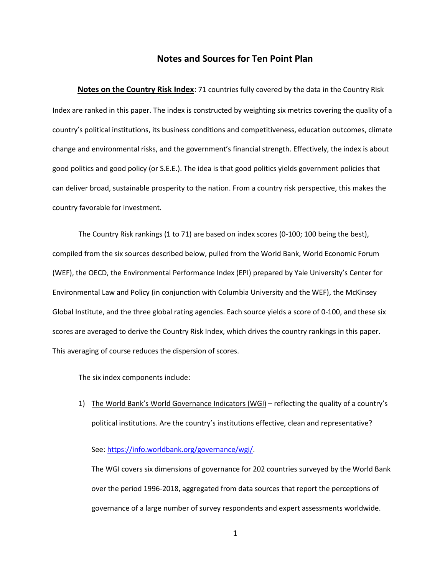# **Notes and Sources for Ten Point Plan**

**Notes on the Country Risk Index**: 71 countries fully covered by the data in the Country Risk Index are ranked in this paper. The index is constructed by weighting six metrics covering the quality of a country's political institutions, its business conditions and competitiveness, education outcomes, climate change and environmental risks, and the government's financial strength. Effectively, the index is about good politics and good policy (or S.E.E.). The idea is that good politics yields government policies that can deliver broad, sustainable prosperity to the nation. From a country risk perspective, this makes the country favorable for investment.

The Country Risk rankings (1 to 71) are based on index scores (0-100; 100 being the best), compiled from the six sources described below, pulled from the World Bank, World Economic Forum (WEF), the OECD, the Environmental Performance Index (EPI) prepared by Yale University's Center for Environmental Law and Policy (in conjunction with Columbia University and the WEF), the McKinsey Global Institute, and the three global rating agencies. Each source yields a score of 0-100, and these six scores are averaged to derive the Country Risk Index, which drives the country rankings in this paper. This averaging of course reduces the dispersion of scores.

The six index components include:

1) The World Bank's World Governance Indicators (WGI) – reflecting the quality of a country's political institutions. Are the country's institutions effective, clean and representative?

### See: [https://info.worldbank.org/governance/wgi/.](https://info.worldbank.org/governance/wgi/)

The WGI covers six dimensions of governance for 202 countries surveyed by the World Bank over the period 1996-2018, aggregated from data sources that report the perceptions of governance of a large number of survey respondents and expert assessments worldwide.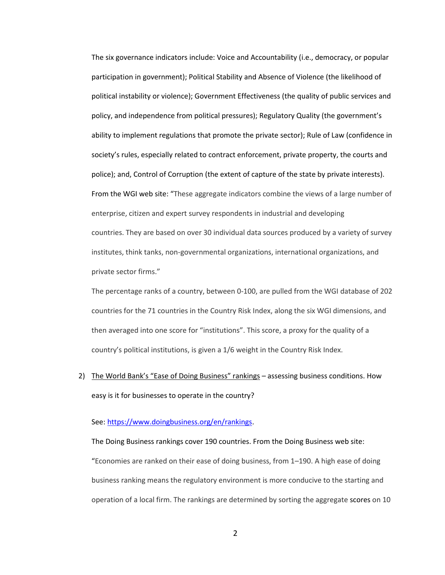The six governance indicators include: Voice and Accountability (i.e., democracy, or popular participation in government); Political Stability and Absence of Violence (the likelihood of political instability or violence); Government Effectiveness (the quality of public services and policy, and independence from political pressures); Regulatory Quality (the government's ability to implement regulations that promote the private sector); Rule of Law (confidence in society's rules, especially related to contract enforcement, private property, the courts and police); and, Control of Corruption (the extent of capture of the state by private interests). From the WGI web site: "These aggregate indicators combine the views of a large number of enterprise, citizen and expert survey respondents in industrial and developing countries. They are based on over 30 individual data sources produced by a variety of survey institutes, think tanks, non-governmental organizations, international organizations, and private sector firms."

The percentage ranks of a country, between 0-100, are pulled from the WGI database of 202 countries for the 71 countries in the Country Risk Index, along the six WGI dimensions, and then averaged into one score for "institutions". This score, a proxy for the quality of a country's political institutions, is given a 1/6 weight in the Country Risk Index.

2) The World Bank's "Ease of Doing Business" rankings – assessing business conditions. How easy is it for businesses to operate in the country?

### See: [https://www.doingbusiness.org/en/rankings.](https://www.doingbusiness.org/en/rankings)

The Doing Business rankings cover 190 countries. From the Doing Business web site: "Economies are ranked on their ease of doing business, from 1–190. A high ease of doing business ranking means the regulatory environment is more conducive to the starting and operation of a local firm. The rankings are determined by sorting the aggregate [scores](https://www.doingbusiness.org/en/data/doing-business-score) on 10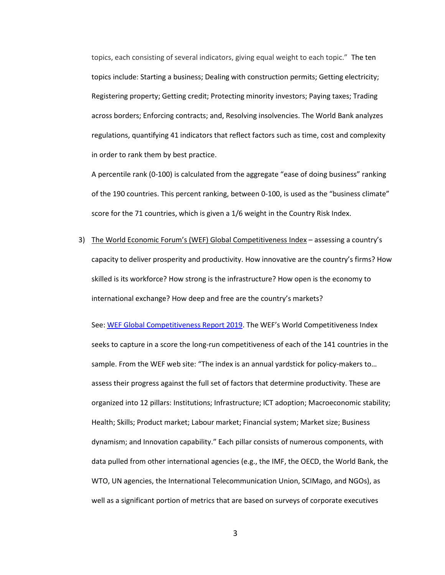topics, each consisting of several indicators, giving equal weight to each topic." The ten topics include: Starting a business; Dealing with construction permits; Getting electricity; Registering property; Getting credit; Protecting minority investors; Paying taxes; Trading across borders; Enforcing contracts; and, Resolving insolvencies. The World Bank analyzes regulations, quantifying 41 indicators that reflect factors such as time, cost and complexity in order to rank them by best practice.

A percentile rank (0-100) is calculated from the aggregate "ease of doing business" ranking of the 190 countries. This percent ranking, between 0-100, is used as the "business climate" score for the 71 countries, which is given a 1/6 weight in the Country Risk Index.

3) The World Economic Forum's (WEF) Global Competitiveness Index – assessing a country's capacity to deliver prosperity and productivity. How innovative are the country's firms? How skilled is its workforce? How strong is the infrastructure? How open is the economy to international exchange? How deep and free are the country's markets?

See: [WEF Global Competitiveness Report 2019.](http://www3.weforum.org/docs/WEF_TheGlobalCompetitivenessReport2019.pdf) The WEF's World Competitiveness Index seeks to capture in a score the long-run competitiveness of each of the 141 countries in the sample. From the WEF web site: "The index is an annual yardstick for policy-makers to… assess their progress against the full set of factors that determine productivity. These are organized into 12 pillars: Institutions; Infrastructure; ICT adoption; Macroeconomic stability; Health; Skills; Product market; Labour market; Financial system; Market size; Business dynamism; and Innovation capability." Each pillar consists of numerous components, with data pulled from other international agencies (e.g., the IMF, the OECD, the World Bank, the WTO, UN agencies, the International Telecommunication Union, SCIMago, and NGOs), as well as a significant portion of metrics that are based on surveys of corporate executives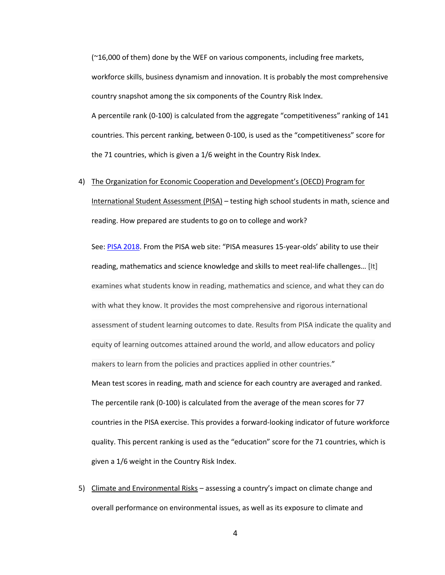$(^{216,000}$  of them) done by the WEF on various components, including free markets, workforce skills, business dynamism and innovation. It is probably the most comprehensive country snapshot among the six components of the Country Risk Index. A percentile rank (0-100) is calculated from the aggregate "competitiveness" ranking of 141 countries. This percent ranking, between 0-100, is used as the "competitiveness" score for the 71 countries, which is given a 1/6 weight in the Country Risk Index.

#### 4) The Organization for Economic Cooperation and Development's (OECD) Program for

International Student Assessment (PISA) – testing high school students in math, science and reading. How prepared are students to go on to college and work?

See: [PISA 2018.](https://www.oecd-ilibrary.org/sites/5f07c754-en/index.html?itemId=/content/publication/5f07c754-en) From the PISA web site: "PISA measures 15-year-olds' ability to use their reading, mathematics and science knowledge and skills to meet real-life challenges… [It] examines what students know in reading, mathematics and science, and what they can do with what they know. It provides the most comprehensive and rigorous international assessment of student learning outcomes to date. Results from PISA indicate the quality and equity of learning outcomes attained around the world, and allow educators and policy makers to learn from the policies and practices applied in other countries." Mean test scores in reading, math and science for each country are averaged and ranked. The percentile rank (0-100) is calculated from the average of the mean scores for 77 countries in the PISA exercise. This provides a forward-looking indicator of future workforce quality. This percent ranking is used as the "education" score for the 71 countries, which is given a 1/6 weight in the Country Risk Index.

5) Climate and Environmental Risks – assessing a country's impact on climate change and overall performance on environmental issues, as well as its exposure to climate and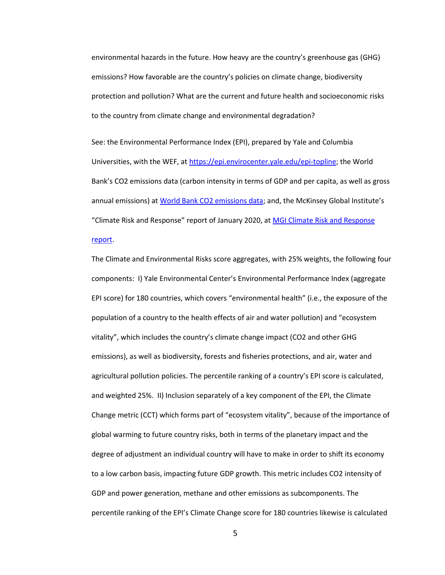environmental hazards in the future. How heavy are the country's greenhouse gas (GHG) emissions? How favorable are the country's policies on climate change, biodiversity protection and pollution? What are the current and future health and socioeconomic risks to the country from climate change and environmental degradation?

See: the Environmental Performance Index (EPI), prepared by Yale and Columbia Universities, with the WEF, at [https://epi.envirocenter.yale.edu/epi-topline;](https://epi.envirocenter.yale.edu/epi-topline) the World Bank's CO2 emissions data (carbon intensity in terms of GDP and per capita, as well as gross annual emissions) at [World Bank CO2 emissions data;](https://data.worldbank.org/indicator/EN.ATM.CO2E.PP.GD) and, the McKinsey Global Institute's "Climate Risk and Response" report of January 2020, at [MGI Climate Risk and Response](https://www.mckinsey.com/business-functions/sustainability/our-insights/climate-risk-and-response-physical-hazards-and-socioeconomic-impacts) 

## [report.](https://www.mckinsey.com/business-functions/sustainability/our-insights/climate-risk-and-response-physical-hazards-and-socioeconomic-impacts)

The Climate and Environmental Risks score aggregates, with 25% weights, the following four components: I) Yale Environmental Center's Environmental Performance Index (aggregate EPI score) for 180 countries, which covers "environmental health" (i.e., the exposure of the population of a country to the health effects of air and water pollution) and "ecosystem vitality", which includes the country's climate change impact (CO2 and other GHG emissions), as well as biodiversity, forests and fisheries protections, and air, water and agricultural pollution policies. The percentile ranking of a country's EPI score is calculated, and weighted 25%. II) Inclusion separately of a key component of the EPI, the Climate Change metric (CCT) which forms part of "ecosystem vitality", because of the importance of global warming to future country risks, both in terms of the planetary impact and the degree of adjustment an individual country will have to make in order to shift its economy to a low carbon basis, impacting future GDP growth. This metric includes CO2 intensity of GDP and power generation, methane and other emissions as subcomponents. The percentile ranking of the EPI's Climate Change score for 180 countries likewise is calculated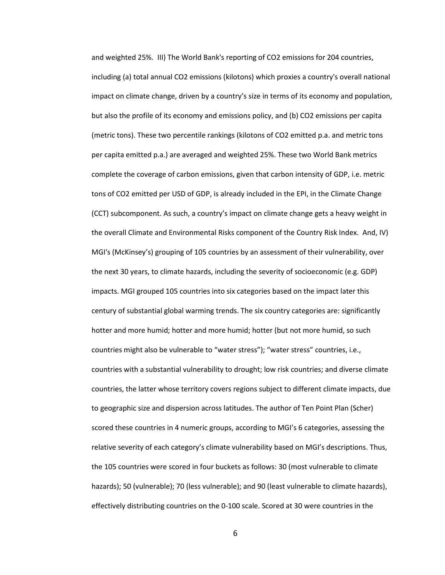and weighted 25%. III) The World Bank's reporting of CO2 emissions for 204 countries, including (a) total annual CO2 emissions (kilotons) which proxies a country's overall national impact on climate change, driven by a country's size in terms of its economy and population, but also the profile of its economy and emissions policy, and (b) CO2 emissions per capita (metric tons). These two percentile rankings (kilotons of CO2 emitted p.a. and metric tons per capita emitted p.a.) are averaged and weighted 25%. These two World Bank metrics complete the coverage of carbon emissions, given that carbon intensity of GDP, i.e. metric tons of CO2 emitted per USD of GDP, is already included in the EPI, in the Climate Change (CCT) subcomponent. As such, a country's impact on climate change gets a heavy weight in the overall Climate and Environmental Risks component of the Country Risk Index. And, IV) MGI's (McKinsey's) grouping of 105 countries by an assessment of their vulnerability, over the next 30 years, to climate hazards, including the severity of socioeconomic (e.g. GDP) impacts. MGI grouped 105 countries into six categories based on the impact later this century of substantial global warming trends. The six country categories are: significantly hotter and more humid; hotter and more humid; hotter (but not more humid, so such countries might also be vulnerable to "water stress"); "water stress" countries, i.e., countries with a substantial vulnerability to drought; low risk countries; and diverse climate countries, the latter whose territory covers regions subject to different climate impacts, due to geographic size and dispersion across latitudes. The author of Ten Point Plan (Scher) scored these countries in 4 numeric groups, according to MGI's 6 categories, assessing the relative severity of each category's climate vulnerability based on MGI's descriptions. Thus, the 105 countries were scored in four buckets as follows: 30 (most vulnerable to climate hazards); 50 (vulnerable); 70 (less vulnerable); and 90 (least vulnerable to climate hazards), effectively distributing countries on the 0-100 scale. Scored at 30 were countries in the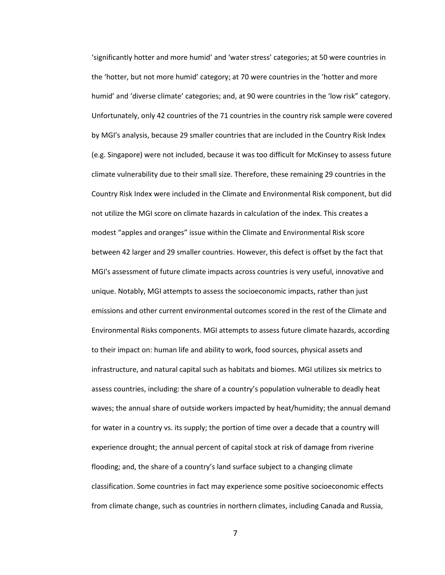'significantly hotter and more humid' and 'water stress' categories; at 50 were countries in the 'hotter, but not more humid' category; at 70 were countries in the 'hotter and more humid' and 'diverse climate' categories; and, at 90 were countries in the 'low risk" category. Unfortunately, only 42 countries of the 71 countries in the country risk sample were covered by MGI's analysis, because 29 smaller countries that are included in the Country Risk Index (e.g. Singapore) were not included, because it was too difficult for McKinsey to assess future climate vulnerability due to their small size. Therefore, these remaining 29 countries in the Country Risk Index were included in the Climate and Environmental Risk component, but did not utilize the MGI score on climate hazards in calculation of the index. This creates a modest "apples and oranges" issue within the Climate and Environmental Risk score between 42 larger and 29 smaller countries. However, this defect is offset by the fact that MGI's assessment of future climate impacts across countries is very useful, innovative and unique. Notably, MGI attempts to assess the socioeconomic impacts, rather than just emissions and other current environmental outcomes scored in the rest of the Climate and Environmental Risks components. MGI attempts to assess future climate hazards, according to their impact on: human life and ability to work, food sources, physical assets and infrastructure, and natural capital such as habitats and biomes. MGI utilizes six metrics to assess countries, including: the share of a country's population vulnerable to deadly heat waves; the annual share of outside workers impacted by heat/humidity; the annual demand for water in a country vs. its supply; the portion of time over a decade that a country will experience drought; the annual percent of capital stock at risk of damage from riverine flooding; and, the share of a country's land surface subject to a changing climate classification. Some countries in fact may experience some positive socioeconomic effects from climate change, such as countries in northern climates, including Canada and Russia,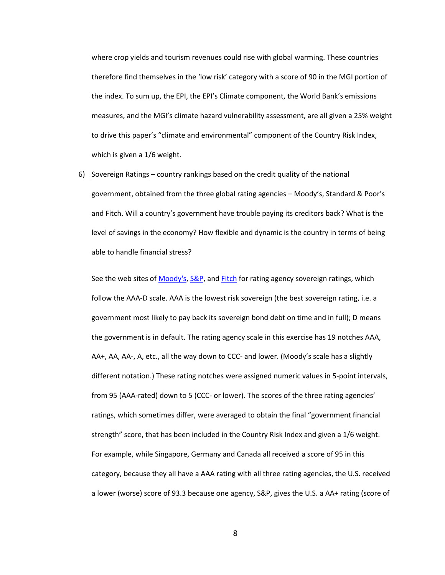where crop yields and tourism revenues could rise with global warming. These countries therefore find themselves in the 'low risk' category with a score of 90 in the MGI portion of the index. To sum up, the EPI, the EPI's Climate component, the World Bank's emissions measures, and the MGI's climate hazard vulnerability assessment, are all given a 25% weight to drive this paper's "climate and environmental" component of the Country Risk Index, which is given a 1/6 weight.

6) Sovereign Ratings – country rankings based on the credit quality of the national government, obtained from the three global rating agencies – Moody's, Standard & Poor's and Fitch. Will a country's government have trouble paying its creditors back? What is the level of savings in the economy? How flexible and dynamic is the country in terms of being able to handle financial stress?

See the web sites of [Moody's,](https://www.moodys.com/research/Sovereign-Supranational-Rating-List--PBC_186519) [S&P,](https://www.spglobal.com/ratings/en/index#find_a_rating) an[d Fitch](https://www.fitchratings.com/site/search?content=entity&filter=MARKET%20SECTOR%5ESovereigns%20%26%20Supranationals%5ESovereigns) for rating agency sovereign ratings, which follow the AAA-D scale. AAA is the lowest risk sovereign (the best sovereign rating, i.e. a government most likely to pay back its sovereign bond debt on time and in full); D means the government is in default. The rating agency scale in this exercise has 19 notches AAA, AA+, AA, AA-, A, etc., all the way down to CCC- and lower. (Moody's scale has a slightly different notation.) These rating notches were assigned numeric values in 5-point intervals, from 95 (AAA-rated) down to 5 (CCC- or lower). The scores of the three rating agencies' ratings, which sometimes differ, were averaged to obtain the final "government financial strength" score, that has been included in the Country Risk Index and given a 1/6 weight. For example, while Singapore, Germany and Canada all received a score of 95 in this category, because they all have a AAA rating with all three rating agencies, the U.S. received a lower (worse) score of 93.3 because one agency, S&P, gives the U.S. a AA+ rating (score of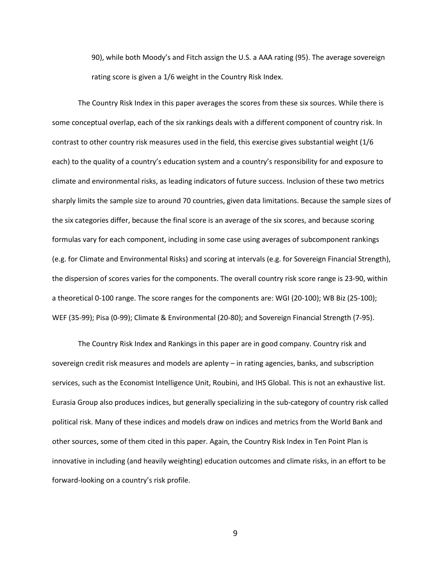90), while both Moody's and Fitch assign the U.S. a AAA rating (95). The average sovereign rating score is given a 1/6 weight in the Country Risk Index.

The Country Risk Index in this paper averages the scores from these six sources. While there is some conceptual overlap, each of the six rankings deals with a different component of country risk. In contrast to other country risk measures used in the field, this exercise gives substantial weight (1/6 each) to the quality of a country's education system and a country's responsibility for and exposure to climate and environmental risks, as leading indicators of future success. Inclusion of these two metrics sharply limits the sample size to around 70 countries, given data limitations. Because the sample sizes of the six categories differ, because the final score is an average of the six scores, and because scoring formulas vary for each component, including in some case using averages of subcomponent rankings (e.g. for Climate and Environmental Risks) and scoring at intervals (e.g. for Sovereign Financial Strength), the dispersion of scores varies for the components. The overall country risk score range is 23-90, within a theoretical 0-100 range. The score ranges for the components are: WGI (20-100); WB Biz (25-100); WEF (35-99); Pisa (0-99); Climate & Environmental (20-80); and Sovereign Financial Strength (7-95).

The Country Risk Index and Rankings in this paper are in good company. Country risk and sovereign credit risk measures and models are aplenty – in rating agencies, banks, and subscription services, such as the Economist Intelligence Unit, Roubini, and IHS Global. This is not an exhaustive list. Eurasia Group also produces indices, but generally specializing in the sub-category of country risk called political risk. Many of these indices and models draw on indices and metrics from the World Bank and other sources, some of them cited in this paper. Again, the Country Risk Index in Ten Point Plan is innovative in including (and heavily weighting) education outcomes and climate risks, in an effort to be forward-looking on a country's risk profile.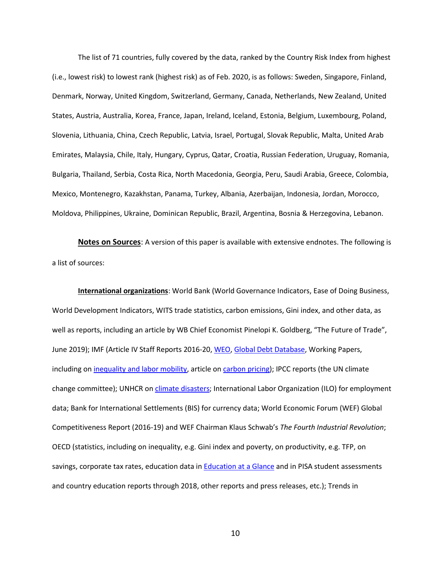The list of 71 countries, fully covered by the data, ranked by the Country Risk Index from highest (i.e., lowest risk) to lowest rank (highest risk) as of Feb. 2020, is as follows: Sweden, Singapore, Finland, Denmark, Norway, United Kingdom, Switzerland, Germany, Canada, Netherlands, New Zealand, United States, Austria, Australia, Korea, France, Japan, Ireland, Iceland, Estonia, Belgium, Luxembourg, Poland, Slovenia, Lithuania, China, Czech Republic, Latvia, Israel, Portugal, Slovak Republic, Malta, United Arab Emirates, Malaysia, Chile, Italy, Hungary, Cyprus, Qatar, Croatia, Russian Federation, Uruguay, Romania, Bulgaria, Thailand, Serbia, Costa Rica, North Macedonia, Georgia, Peru, Saudi Arabia, Greece, Colombia, Mexico, Montenegro, Kazakhstan, Panama, Turkey, Albania, Azerbaijan, Indonesia, Jordan, Morocco, Moldova, Philippines, Ukraine, Dominican Republic, Brazil, Argentina, Bosnia & Herzegovina, Lebanon.

**Notes on Sources**: A version of this paper is available with extensive endnotes. The following is a list of sources:

**International organizations**: World Bank (World Governance Indicators, Ease of Doing Business, World Development Indicators, WITS trade statistics, carbon emissions, Gini index, and other data, as well as reports, including an article by WB Chief Economist Pinelopi K. Goldberg, "The Future of Trade", June 2019); IMF (Article IV Staff Reports 2016-20, [WEO,](https://www.imf.org/en/Publications/WEO) [Global Debt Database,](https://www.imf.org/external/datamapper/datasets/GDD) Working Papers, including on [inequality and labor mobility,](https://www.imf.org/en/Publications/WP/Issues/2019/06/03/Stranded-How-Rising-Inequality-Suppressed-US-Migration-and-Hurt-Those-Left-Behind-46824) article on [carbon pricing\)](https://www.imf.org/en/News/Podcasts/All-Podcasts/2019/06/28/ian-parry-on-carbon-taxes?utm_medium=email&utm_source=govdelivery); IPCC reports (the UN climate change committee); UNHCR o[n climate disasters;](https://www.unhcr.org/en-us/climate-change-and-disasters.html) International Labor Organization (ILO) for employment data; Bank for International Settlements (BIS) for currency data; World Economic Forum (WEF) Global Competitiveness Report (2016-19) and WEF Chairman Klaus Schwab's *The Fourth Industrial Revolution*; OECD (statistics, including on inequality, e.g. Gini index and poverty, on productivity, e.g. TFP, on savings, corporate tax rates, education data i[n Education at a Glance](http://www.oecd.org/education/education-at-a-glance/) and in PISA student assessments and country education reports through 2018, other reports and press releases, etc.); Trends in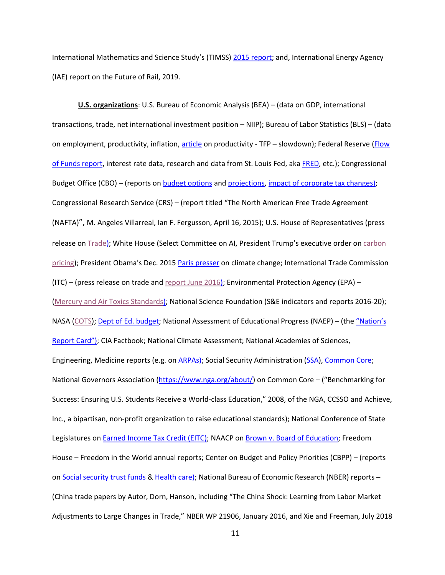International Mathematics and Science Study's (TIMSS[\) 2015 report;](https://nces.ed.gov/pubs2017/2017002.pdf) and, International Energy Agency (IAE) report on the Future of Rail, 2019.

**U.S. organizations**: U.S. Bureau of Economic Analysis (BEA) – (data on GDP, international transactions, trade, net international investment position – NIIP); Bureau of Labor Statistics (BLS) – (data on employment, productivity, inflation, [article](https://www.bls.gov/opub/mlr/2018/article/multifactor-productivity-slowdown-in-us-manufacturing.htm) on productivity - TFP - slowdown); Federal Reserve (Flow [of Funds report,](https://www.federalreserve.gov/releases/z1/default.htm) interest rate data, research and data from St. Louis Fed, ak[a FRED,](https://fred.stlouisfed.org/) etc.); Congressional Budget Office (CBO) – (reports on **budget options** an[d projections,](https://www.cbo.gov/publication/56020) [impact of corporate tax changes\)](https://www.cbo.gov/budget-options/2016/52271); Congressional Research Service (CRS) – (report titled "The North American Free Trade Agreement (NAFTA)", M. Angeles Villarreal, Ian F. Fergusson, April 16, 2015); U.S. House of Representatives (press release o[n Trade\)](https://kind.house.gov/media-center/press-releases/kind-gallagher-lahood-panetta-introduce-tariff-legislation); White House (Select Committee on AI, President Trump's executive order on carbon [pricing\)](https://www.whitehouse.gov/presidential-actions/presidential-executive-order-promoting-energy-independence-economic-growth/); President Obama's Dec. 201[5 Paris presser](https://obamawhitehouse.archives.gov/the-press-office/2015/12/01/press-conference-president-obama) on climate change; International Trade Commission  $(ITC)$  – (press release on trade and [report June 2016\)](https://www.usitc.gov/press_room/news_release/2016/er0629ll625.htm); Environmental Protection Agency (EPA) – [\(Mercury and Air Toxics Standards\)](https://www.epa.gov/mats/basic-information-about-mercury-and-air-toxics-standards); National Science Foundation (S&E indicators and reports 2016-20); NASA [\(COTS\)](https://www.nasa.gov/commercial-orbital-transportation-services-cots); [Dept of Ed. budget;](https://www2.ed.gov/about/overview/budget/history/index.html) National Assessment of Educational Progress (NAEP) – (the ["Nation's](https://nces.ed.gov/nationsreportcard/about/)  [Report Card"](https://nces.ed.gov/nationsreportcard/about/)); CIA Factbook; National Climate Assessment; National Academies of Sciences, Engineering, Medicine reports (e.g. o[n ARPAs\)](https://www.nap.edu/catalog/24778/an-assessment-of-arpa-e); Social Security Administration [\(SSA\)](https://www.ssa.gov/oact/TR/2017/tr2017.pdf), [Common Core;](http://www.corestandards.org/about-the-standards/) National Governors Association [\(https://www.nga.org/about/\)](https://www.nga.org/about/) on Common Core – ("Benchmarking for Success: Ensuring U.S. Students Receive a World-class Education," 2008, of the NGA, CCSSO and Achieve, Inc., a bipartisan, non-profit organization to raise educational standards); National Conference of State Legislatures o[n Earned Income Tax Credit \(EITC\);](https://www.ncsl.org/research/labor-and-employment/earned-income-tax-credits-for-working-families.aspx) NAACP on [Brown v. Board of Education;](https://www.naacpldf.org/case-issue/landmark-brown-v-board-education/) Freedom House – Freedom in the World annual reports; Center on Budget and Policy Priorities (CBPP) – (reports on [Social security trust funds](https://www.cbpp.org/research/social-security/policy-basics-understanding-the-social-security-trust-funds) & [Health care\)](https://www.cbpp.org/research/health/medicare-is-not-bankrupt); National Bureau of Economic Research (NBER) reports – (China trade papers by Autor, Dorn, Hanson, including "The China Shock: Learning from Labor Market Adjustments to Large Changes in Trade," NBER WP 21906, January 2016, and Xie and Freeman, July 2018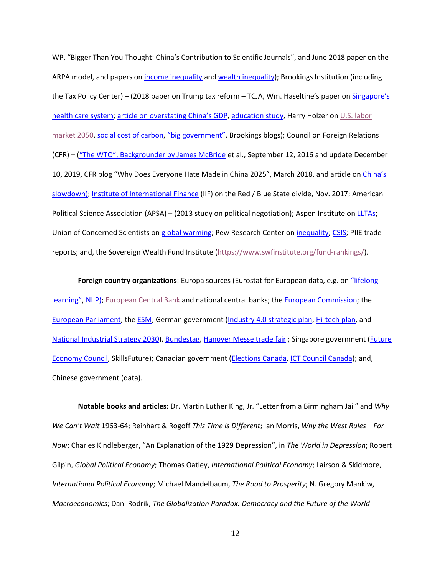WP, "Bigger Than You Thought: China's Contribution to Scientific Journals", and June 2018 paper on the ARPA model, and papers on [income inequality](https://www.nber.org/papers/w22910.pdf) and [wealth inequality\)](https://www.nber.org/papers/w24085); Brookings Institution (including the Tax Policy Center) – (2018 paper on Trump tax reform – TCJA, Wm. Haseltine's paper on [Singapore's](https://www.brookings.edu/wp-content/uploads/2016/07/AffordableExcellencePDF.pdf)  [health care system;](https://www.brookings.edu/wp-content/uploads/2016/07/AffordableExcellencePDF.pdf) [article on overstating China's GDP](https://www.brookings.edu/wp-content/uploads/2019/03/BPEA-2019-Forensic-Analysis-China.pdf), [education study,](https://www.brookings.edu/wp-content/uploads/2017/03/2017-brown-center-report-on-american-education.pdf) Harry Holzer on U.S. labor [market 2050,](https://www.brookings.edu/wp-content/uploads/2019/05/201905_Holzer-The-US-Labor-Market-in-2050-Supply-Demand-and-Public-Policy.pdf) [social cost of carbon,](https://www.brookings.edu/testimonies/the-social-costs-of-carbon/) ["big government"](https://www.brookings.edu/blog/fixgov/2017/02/13/ten-questions-and-answers-about-americas-big-government/), Brookings blogs); Council on Foreign Relations (CFR) – (["The WTO", Backgrounder by James McBride](https://www.cfr.org/backgrounder/world-trade-organization-wto) et al., September 12, 2016 and update December 10, 2019, CFR blog "Why Does Everyone Hate Made in China 2025", March 2018, and article on [China's](https://cfe.econ.jhu.edu/chinas-slowdown-meets-eye/)  [slowdown\)](https://cfe.econ.jhu.edu/chinas-slowdown-meets-eye/); [Institute of International Finance](https://www.iif.com/) (IIF) on the Red / Blue State divide, Nov. 2017; American Political Science Association (APSA) – (2013 study on political negotiation); Aspen Institute o[n LLTAs;](https://assets.aspeninstitute.org/content/uploads/2018/05/Lifelong-Learning-and-Training-Accounts-Issue-Brief.pdf?_ga=2.74750482.1894486856.1560823428-1664743796.1560823428) Union of Concerned Scientists on [global warming;](https://www.ucsusa.org/global-warming/science-and-impacts/science/each-countrys-share-of-co2.html) Pew Research Center on [inequality;](https://www.pewresearch.org/fact-tank/2018/07/12/key-findings-on-the-rise-in-income-inequality-within-americas-racial-and-ethnic-groups/) [CSIS;](https://www.csis.org/analysis/made-china-2025) PIIE trade reports; and, the Sovereign Wealth Fund Institute [\(https://www.swfinstitute.org/fund-rankings/\)](https://www.swfinstitute.org/fund-rankings/).

**Foreign country organizations**: Europa sources (Eurostat for European data, e.g. on ["lifelong](https://www.markiteconomics.com/Survey/PressRelease.mvc/5b44eec864a24ca29ecd317e65e22ac8)  [learning"](https://www.markiteconomics.com/Survey/PressRelease.mvc/5b44eec864a24ca29ecd317e65e22ac8), [NIIP\)](https://ec.europa.eu/eurostat/databrowser/view/tipsii40/default/table?lang=en); [European Central Bank](https://www.ecb.europa.eu/pub/pdf/other/ecb.targetar2017.en.pdf) and national central banks; the [European Commission;](https://ec.europa.eu/info/business-economy-euro/euro-area_en) the [European Parliament;](http://www.europarl.europa.eu/RegData/etudes/BRIE/2014/497755/IPOL-ECON_NT(2014)497755_EN.pdf) the [ESM;](https://www.esm.europa.eu/) German government [\(Industry 4.0 strategic plan,](https://www.plattform-i40.de/PI40/Navigation/EN/Industrie40/WhatIsIndustrie40/what-is-industrie40.html) [Hi-tech plan,](https://www.hightech-strategie.de/de/The-new-High-Tech-Strategy-390.php) and [National Industrial Strategy 2030\)](https://www.bmwi.de/Redaktion/EN/Publikationen/Industry/national-industry-strategy-2030.html), [Bundestag,](https://www.bundestag.de/en/parliament/plenary/distributionofseats) [Hanover Messe trade fair](https://www.hannovermesse.de/home) ; Singapore government [\(Future](https://www.skillsfuture.sg/AboutSkillsFuture#section5)  [Economy Council,](https://www.skillsfuture.sg/AboutSkillsFuture#section5) SkillsFuture); Canadian government [\(Elections Canada,](https://www.elections.ca/home.aspx) [ICT Council Canada\)](https://www.ictc-ctic.ca/wp-content/uploads/2017/04/ICTC_Outlook-2021.pdf); and, Chinese government (data).

**Notable books and articles**: Dr. Martin Luther King, Jr. "Letter from a Birmingham Jail" and *Why We Can't Wait* 1963-64; Reinhart & Rogoff *This Time is Different*; Ian Morris, *Why the West Rules—For Now*; Charles Kindleberger, "An Explanation of the 1929 Depression", in *The World in Depression*; Robert Gilpin, *Global Political Economy*; Thomas Oatley, *International Political Economy*; Lairson & Skidmore, *International Political Economy*; Michael Mandelbaum, *The Road to Prosperity*; N. Gregory Mankiw, *Macroeconomics*; Dani Rodrik, *The Globalization Paradox: Democracy and the Future of the World*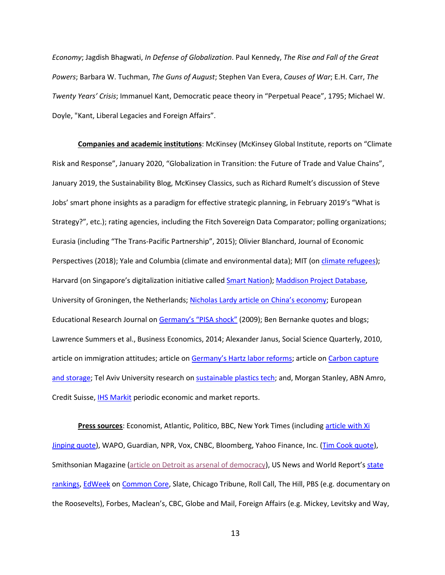*Economy*; Jagdish Bhagwati, *In Defense of Globalization*. Paul Kennedy, *The Rise and Fall of the Great Powers*; Barbara W. Tuchman, *The Guns of August*; Stephen Van Evera, *Causes of War*; E.H. Carr, *The Twenty Years' Crisis*; Immanuel Kant, Democratic peace theory in "Perpetual Peace", 1795; Michael W. Doyle, ["Kant, Liberal Legacies and Foreign Affairs](https://web.archive.org/web/20140216082244/http:/www.politics.ubc.ca/fileadmin/user_upload/poli_sci/Faculty/price/Debating_the_Democratic_Peace__Doyle.pdf)".

**Companies and academic institutions**: McKinsey (McKinsey Global Institute, reports on "Climate Risk and Response", January 2020, "Globalization in Transition: the Future of Trade and Value Chains", January 2019, the Sustainability Blog, McKinsey Classics, such as Richard Rumelt's discussion of Steve Jobs' smart phone insights as a paradigm for effective strategic planning, in February 2019's "What is Strategy?", etc.); rating agencies, including the Fitch Sovereign Data Comparator; polling organizations; Eurasia (including "The Trans-Pacific Partnership", 2015); Olivier Blanchard, Journal of Economic Perspectives (2018); Yale and Columbia (climate and environmental data); MIT (on [climate refugees\)](https://www.technologyreview.com/s/613342/get-ready-for-tens-of-millions-of-climate-refugees/); Harvard (on Singapore's digitalization initiative calle[d Smart Nation\)](https://ash.harvard.edu/files/ash/files/282181_hvd_ash_paper_jj_woo.pdf); [Maddison Project Database,](https://www.rug.nl/ggdc/historicaldevelopment/maddison/releases/maddison-project-database-2018) University of Groningen, the Netherlands; [Nicholas Lardy article on China's economy](https://www.rba.gov.au/publications/confs/2016/pdf/rba-conference-volume-2016-lardy.pdf); European Educational Research Journal on [Germany's "PISA shock"](https://journals.sagepub.com/doi/pdf/10.2304/eerj.2009.8.3.476) (2009); Ben Bernanke quotes and blogs; Lawrence Summers et al., Business Economics, 2014; Alexander Janus, Social Science Quarterly, 2010, article on immigration attitudes; article on [Germany's Hartz labor reforms](https://www.foreignaffairs.com/articles/germany/2017-09-11/germany-after-hartz-reforms); article on Carbon capture [and storage;](http://www.ccsassociation.org/what-is-ccs/) Tel Aviv University research on [sustainable plastics tech;](https://phys.org/news/2018-12-sustainable-plastics-horizon.html) and, Morgan Stanley, ABN Amro, Credit Suisse, **IHS Markit** periodic economic and market reports.

**Press sources**: Economist, Atlantic, Politico, BBC, New York Times (including [article with Xi](https://www.nytimes.com/2016/10/05/world/asia/china-president-xi-jinping-successor.html)  [Jinping quote\)](https://www.nytimes.com/2016/10/05/world/asia/china-president-xi-jinping-successor.html), WAPO, Guardian, NPR, Vox, CNBC, Bloomberg, Yahoo Finance, Inc. [\(Tim Cook quote\)](https://www.inc.com/glenn-leibowitz/apple-ceo-tim-cook-this-is-number-1-reason-we-make-iphones-in-china-its-not-what-you-think.html), Smithsonian Magazine [\(article on Detroit as arsenal of democracy\)](https://www.smithsonianmag.com/smart-news/when-detroit-was-arsenal-democracy-180962620/), US News and World Report's state [rankings,](https://www.usnews.com/news/best-states/rankings/education) [EdWeek](https://mobile.edweek.org/index.jsp?DISPATCHED=true) on [Common Core,](https://www.edweek.org/ew/articles/2017/11/13/even-when-states-revise-standards-the-core.html) Slate, Chicago Tribune, Roll Call, The Hill, PBS (e.g. documentary on the Roosevelts), Forbes, Maclean's, CBC, Globe and Mail, Foreign Affairs (e.g. Mickey, Levitsky and Way,